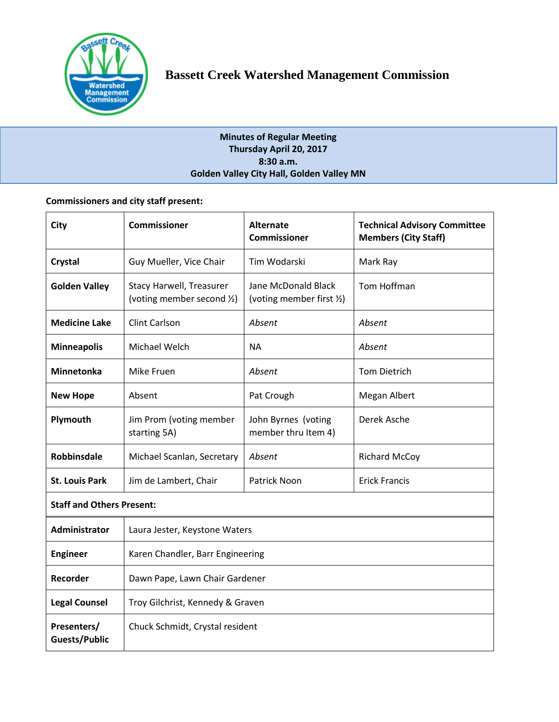

# **Minutes of Regular Meeting Thursday April 20, 2017 8:30 a.m. Golden Valley City Hall, Golden Valley MN**

# **Commissioners and city staff present:**

| City                                | <b>Commissioner</b>                                    | <b>Alternate</b><br><b>Commissioner</b>          | <b>Technical Advisory Committee</b><br><b>Members (City Staff)</b> |  |
|-------------------------------------|--------------------------------------------------------|--------------------------------------------------|--------------------------------------------------------------------|--|
| Crystal                             | Guy Mueller, Vice Chair                                | Tim Wodarski                                     | Mark Ray                                                           |  |
| <b>Golden Valley</b>                | Stacy Harwell, Treasurer<br>(voting member second 1/2) | Jane McDonald Black<br>(voting member first 1/2) | Tom Hoffman                                                        |  |
| <b>Medicine Lake</b>                | <b>Clint Carlson</b>                                   | Absent                                           | Absent                                                             |  |
| <b>Minneapolis</b>                  | Michael Welch                                          | <b>NA</b>                                        | Absent                                                             |  |
| Minnetonka                          | Mike Fruen                                             | Absent                                           | <b>Tom Dietrich</b>                                                |  |
| <b>New Hope</b>                     | Absent                                                 | Pat Crough                                       | Megan Albert                                                       |  |
| Plymouth                            | Jim Prom (voting member<br>starting 5A)                | John Byrnes (voting<br>member thru Item 4)       | Derek Asche                                                        |  |
| <b>Robbinsdale</b>                  | Michael Scanlan, Secretary                             | Absent                                           | <b>Richard McCoy</b>                                               |  |
| <b>St. Louis Park</b>               | Jim de Lambert, Chair                                  | <b>Patrick Noon</b>                              | <b>Erick Francis</b>                                               |  |
| <b>Staff and Others Present:</b>    |                                                        |                                                  |                                                                    |  |
| Administrator                       | Laura Jester, Keystone Waters                          |                                                  |                                                                    |  |
| <b>Engineer</b>                     | Karen Chandler, Barr Engineering                       |                                                  |                                                                    |  |
| Recorder                            | Dawn Pape, Lawn Chair Gardener                         |                                                  |                                                                    |  |
| <b>Legal Counsel</b>                | Troy Gilchrist, Kennedy & Graven                       |                                                  |                                                                    |  |
| Presenters/<br><b>Guests/Public</b> | Chuck Schmidt, Crystal resident                        |                                                  |                                                                    |  |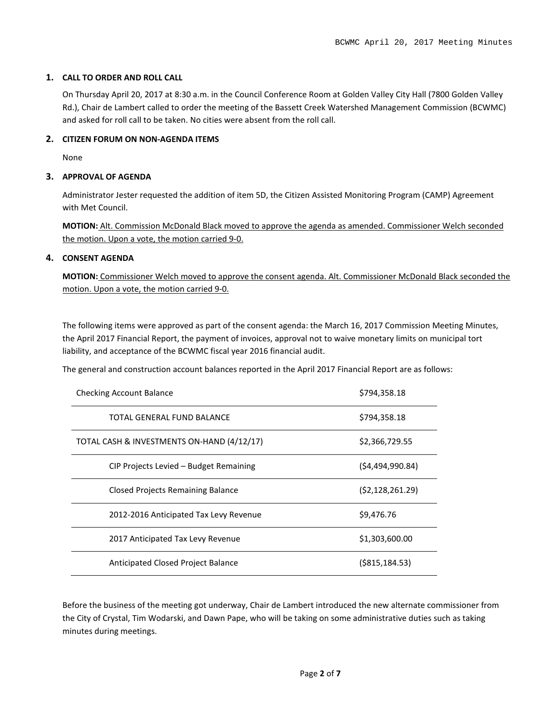# **1. CALL TO ORDER AND ROLL CALL**

On Thursday April 20, 2017 at 8:30 a.m. in the Council Conference Room at Golden Valley City Hall (7800 Golden Valley Rd.), Chair de Lambert called to order the meeting of the Bassett Creek Watershed Management Commission (BCWMC) and asked for roll call to be taken. No cities were absent from the roll call.

#### **2. CITIZEN FORUM ON NON-AGENDA ITEMS**

None

#### **3. APPROVAL OF AGENDA**

Administrator Jester requested the addition of item 5D, the Citizen Assisted Monitoring Program (CAMP) Agreement with Met Council.

**MOTION:** Alt. Commission McDonald Black moved to approve the agenda as amended. Commissioner Welch seconded the motion. Upon a vote, the motion carried 9-0.

## **4. CONSENT AGENDA**

**MOTION:** Commissioner Welch moved to approve the consent agenda. Alt. Commissioner McDonald Black seconded the motion. Upon a vote, the motion carried 9-0.

The following items were approved as part of the consent agenda: the March 16, 2017 Commission Meeting Minutes, the April 2017 Financial Report, the payment of invoices, approval not to waive monetary limits on municipal tort liability, and acceptance of the BCWMC fiscal year 2016 financial audit.

The general and construction account balances reported in the April 2017 Financial Report are as follows:

| <b>Checking Account Balance</b>            | \$794,358.18      |
|--------------------------------------------|-------------------|
| TOTAL GENERAL FUND BALANCE                 | \$794,358.18      |
| TOTAL CASH & INVESTMENTS ON-HAND (4/12/17) | \$2,366,729.55    |
| CIP Projects Levied – Budget Remaining     | (54, 494, 990.84) |
| Closed Projects Remaining Balance          | (52, 128, 261.29) |
| 2012-2016 Anticipated Tax Levy Revenue     | \$9.476.76        |
| 2017 Anticipated Tax Levy Revenue          | \$1,303,600.00    |
| Anticipated Closed Project Balance         | $($ \$815,184.53) |

Before the business of the meeting got underway, Chair de Lambert introduced the new alternate commissioner from the City of Crystal, Tim Wodarski, and Dawn Pape, who will be taking on some administrative duties such as taking minutes during meetings.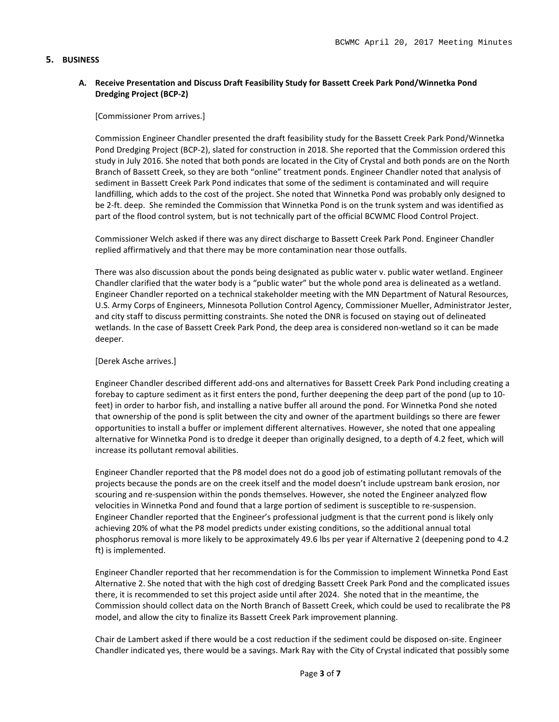#### **5. BUSINESS**

## **A. Receive Presentation and Discuss Draft Feasibility Study for Bassett Creek Park Pond/Winnetka Pond Dredging Project (BCP-2)**

#### [Commissioner Prom arrives.]

Commission Engineer Chandler presented the draft feasibility study for the Bassett Creek Park Pond/Winnetka Pond Dredging Project (BCP-2), slated for construction in 2018. She reported that the Commission ordered this study in July 2016. She noted that both ponds are located in the City of Crystal and both ponds are on the North Branch of Bassett Creek, so they are both "online" treatment ponds. Engineer Chandler noted that analysis of sediment in Bassett Creek Park Pond indicates that some of the sediment is contaminated and will require landfilling, which adds to the cost of the project. She noted that Winnetka Pond was probably only designed to be 2-ft. deep. She reminded the Commission that Winnetka Pond is on the trunk system and was identified as part of the flood control system, but is not technically part of the official BCWMC Flood Control Project.

Commissioner Welch asked if there was any direct discharge to Bassett Creek Park Pond. Engineer Chandler replied affirmatively and that there may be more contamination near those outfalls.

There was also discussion about the ponds being designated as public water v. public water wetland. Engineer Chandler clarified that the water body is a "public water" but the whole pond area is delineated as a wetland. Engineer Chandler reported on a technical stakeholder meeting with the MN Department of Natural Resources, U.S. Army Corps of Engineers, Minnesota Pollution Control Agency, Commissioner Mueller, Administrator Jester, and city staff to discuss permitting constraints. She noted the DNR is focused on staying out of delineated wetlands. In the case of Bassett Creek Park Pond, the deep area is considered non-wetland so it can be made deeper.

#### [Derek Asche arrives.]

Engineer Chandler described different add-ons and alternatives for Bassett Creek Park Pond including creating a forebay to capture sediment as it first enters the pond, further deepening the deep part of the pond (up to 10 feet) in order to harbor fish, and installing a native buffer all around the pond. For Winnetka Pond she noted that ownership of the pond is split between the city and owner of the apartment buildings so there are fewer opportunities to install a buffer or implement different alternatives. However, she noted that one appealing alternative for Winnetka Pond is to dredge it deeper than originally designed, to a depth of 4.2 feet, which will increase its pollutant removal abilities.

Engineer Chandler reported that the P8 model does not do a good job of estimating pollutant removals of the projects because the ponds are on the creek itself and the model doesn't include upstream bank erosion, nor scouring and re-suspension within the ponds themselves. However, she noted the Engineer analyzed flow velocities in Winnetka Pond and found that a large portion of sediment is susceptible to re-suspension. Engineer Chandler reported that the Engineer's professional judgment is that the current pond is likely only achieving 20% of what the P8 model predicts under existing conditions, so the additional annual total phosphorus removal is more likely to be approximately 49.6 lbs per year if Alternative 2 (deepening pond to 4.2 ft) is implemented.

Engineer Chandler reported that her recommendation is for the Commission to implement Winnetka Pond East Alternative 2. She noted that with the high cost of dredging Bassett Creek Park Pond and the complicated issues there, it is recommended to set this project aside until after 2024. She noted that in the meantime, the Commission should collect data on the North Branch of Bassett Creek, which could be used to recalibrate the P8 model, and allow the city to finalize its Bassett Creek Park improvement planning.

Chair de Lambert asked if there would be a cost reduction if the sediment could be disposed on-site. Engineer Chandler indicated yes, there would be a savings. Mark Ray with the City of Crystal indicated that possibly some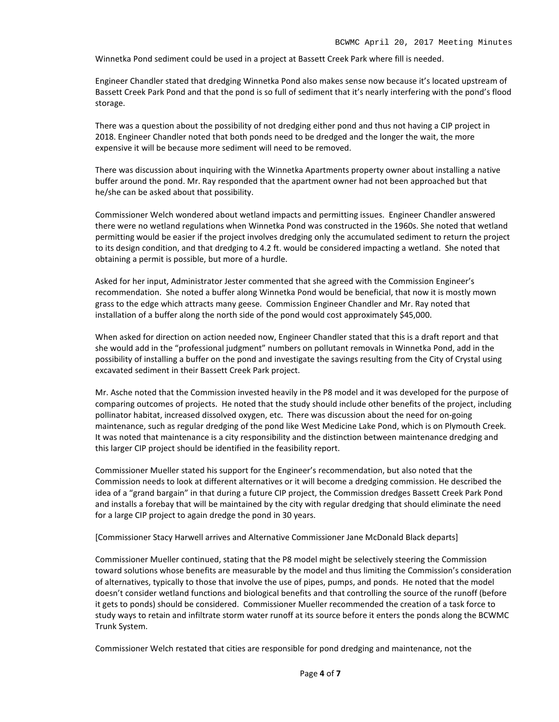Winnetka Pond sediment could be used in a project at Bassett Creek Park where fill is needed.

Engineer Chandler stated that dredging Winnetka Pond also makes sense now because it's located upstream of Bassett Creek Park Pond and that the pond is so full of sediment that it's nearly interfering with the pond's flood storage.

There was a question about the possibility of not dredging either pond and thus not having a CIP project in 2018. Engineer Chandler noted that both ponds need to be dredged and the longer the wait, the more expensive it will be because more sediment will need to be removed.

There was discussion about inquiring with the Winnetka Apartments property owner about installing a native buffer around the pond. Mr. Ray responded that the apartment owner had not been approached but that he/she can be asked about that possibility.

Commissioner Welch wondered about wetland impacts and permitting issues. Engineer Chandler answered there were no wetland regulations when Winnetka Pond was constructed in the 1960s. She noted that wetland permitting would be easier if the project involves dredging only the accumulated sediment to return the project to its design condition, and that dredging to 4.2 ft. would be considered impacting a wetland. She noted that obtaining a permit is possible, but more of a hurdle.

Asked for her input, Administrator Jester commented that she agreed with the Commission Engineer's recommendation. She noted a buffer along Winnetka Pond would be beneficial, that now it is mostly mown grass to the edge which attracts many geese. Commission Engineer Chandler and Mr. Ray noted that installation of a buffer along the north side of the pond would cost approximately \$45,000.

When asked for direction on action needed now, Engineer Chandler stated that this is a draft report and that she would add in the "professional judgment" numbers on pollutant removals in Winnetka Pond, add in the possibility of installing a buffer on the pond and investigate the savings resulting from the City of Crystal using excavated sediment in their Bassett Creek Park project.

Mr. Asche noted that the Commission invested heavily in the P8 model and it was developed for the purpose of comparing outcomes of projects. He noted that the study should include other benefits of the project, including pollinator habitat, increased dissolved oxygen, etc. There was discussion about the need for on-going maintenance, such as regular dredging of the pond like West Medicine Lake Pond, which is on Plymouth Creek. It was noted that maintenance is a city responsibility and the distinction between maintenance dredging and this larger CIP project should be identified in the feasibility report.

Commissioner Mueller stated his support for the Engineer's recommendation, but also noted that the Commission needs to look at different alternatives or it will become a dredging commission. He described the idea of a "grand bargain" in that during a future CIP project, the Commission dredges Bassett Creek Park Pond and installs a forebay that will be maintained by the city with regular dredging that should eliminate the need for a large CIP project to again dredge the pond in 30 years.

[Commissioner Stacy Harwell arrives and Alternative Commissioner Jane McDonald Black departs]

Commissioner Mueller continued, stating that the P8 model might be selectively steering the Commission toward solutions whose benefits are measurable by the model and thus limiting the Commission's consideration of alternatives, typically to those that involve the use of pipes, pumps, and ponds. He noted that the model doesn't consider wetland functions and biological benefits and that controlling the source of the runoff (before it gets to ponds) should be considered. Commissioner Mueller recommended the creation of a task force to study ways to retain and infiltrate storm water runoff at its source before it enters the ponds along the BCWMC Trunk System.

Commissioner Welch restated that cities are responsible for pond dredging and maintenance, not the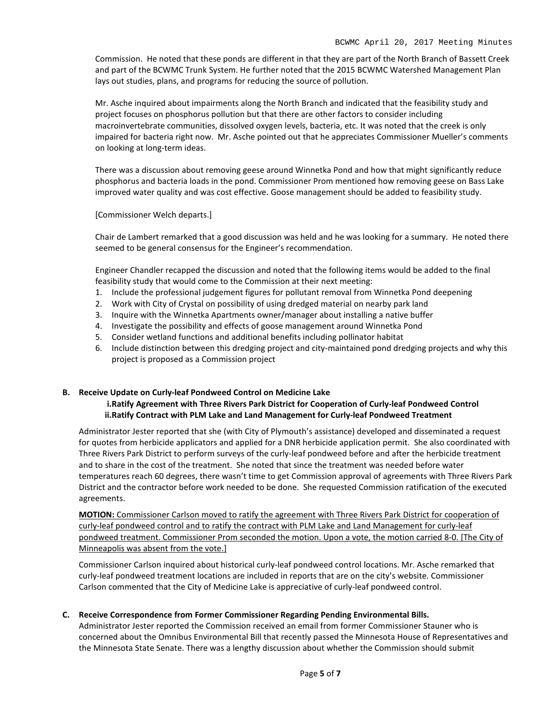Commission. He noted that these ponds are different in that they are part of the North Branch of Bassett Creek and part of the BCWMC Trunk System. He further noted that the 2015 BCWMC Watershed Management Plan lays out studies, plans, and programs for reducing the source of pollution.

Mr. Asche inquired about impairments along the North Branch and indicated that the feasibility study and project focuses on phosphorus pollution but that there are other factors to consider including macroinvertebrate communities, dissolved oxygen levels, bacteria, etc. It was noted that the creek is only impaired for bacteria right now. Mr. Asche pointed out that he appreciates Commissioner Mueller's comments on looking at long-term ideas.

There was a discussion about removing geese around Winnetka Pond and how that might significantly reduce phosphorus and bacteria loads in the pond. Commissioner Prom mentioned how removing geese on Bass Lake improved water quality and was cost effective. Goose management should be added to feasibility study.

[Commissioner Welch departs.]

Chair de Lambert remarked that a good discussion was held and he was looking for a summary. He noted there seemed to be general consensus for the Engineer's recommendation.

Engineer Chandler recapped the discussion and noted that the following items would be added to the final feasibility study that would come to the Commission at their next meeting:

- 1. Include the professional judgement figures for pollutant removal from Winnetka Pond deepening
- 2. Work with City of Crystal on possibility of using dredged material on nearby park land
- 3. Inquire with the Winnetka Apartments owner/manager about installing a native buffer
- 4. Investigate the possibility and effects of goose management around Winnetka Pond
- 5. Consider wetland functions and additional benefits including pollinator habitat
- 6. Include distinction between this dredging project and city-maintained pond dredging projects and why this project is proposed as a Commission project

#### **B. Receive Update on Curly-leaf Pondweed Control on Medicine Lake i.Ratify Agreement with Three Rivers Park District for Cooperation of Curly-leaf Pondweed Control ii.Ratify Contract with PLM Lake and Land Management for Curly-leaf Pondweed Treatment**

Administrator Jester reported that she (with City of Plymouth's assistance) developed and disseminated a request for quotes from herbicide applicators and applied for a DNR herbicide application permit. She also coordinated with Three Rivers Park District to perform surveys of the curly-leaf pondweed before and after the herbicide treatment and to share in the cost of the treatment. She noted that since the treatment was needed before water temperatures reach 60 degrees, there wasn't time to get Commission approval of agreements with Three Rivers Park District and the contractor before work needed to be done. She requested Commission ratification of the executed agreements.

**MOTION:** Commissioner Carlson moved to ratify the agreement with Three Rivers Park District for cooperation of curly-leaf pondweed control and to ratify the contract with PLM Lake and Land Management for curly-leaf pondweed treatment. Commissioner Prom seconded the motion. Upon a vote, the motion carried 8-0. [The City of Minneapolis was absent from the vote.]

Commissioner Carlson inquired about historical curly-leaf pondweed control locations. Mr. Asche remarked that curly-leaf pondweed treatment locations are included in reports that are on the city's website. Commissioner Carlson commented that the City of Medicine Lake is appreciative of curly-leaf pondweed control.

## **C. Receive Correspondence from Former Commissioner Regarding Pending Environmental Bills.**

Administrator Jester reported the Commission received an email from former Commissioner Stauner who is concerned about the Omnibus Environmental Bill that recently passed the Minnesota House of Representatives and the Minnesota State Senate. There was a lengthy discussion about whether the Commission should submit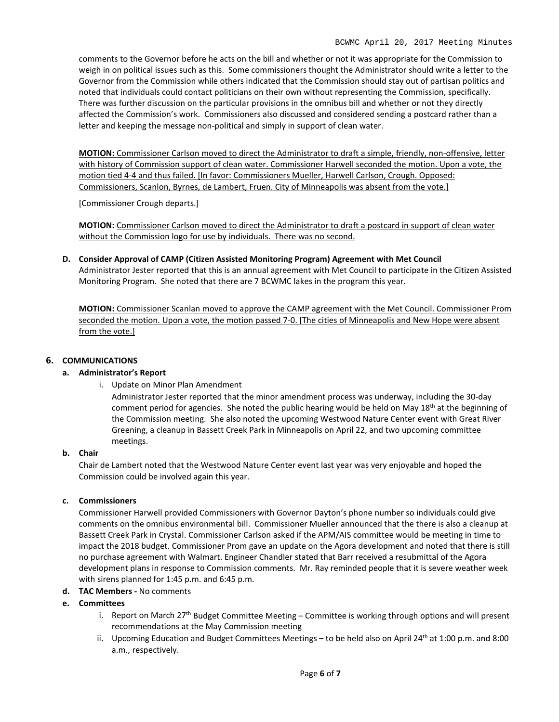comments to the Governor before he acts on the bill and whether or not it was appropriate for the Commission to weigh in on political issues such as this. Some commissioners thought the Administrator should write a letter to the Governor from the Commission while others indicated that the Commission should stay out of partisan politics and noted that individuals could contact politicians on their own without representing the Commission, specifically. There was further discussion on the particular provisions in the omnibus bill and whether or not they directly affected the Commission's work. Commissioners also discussed and considered sending a postcard rather than a letter and keeping the message non-political and simply in support of clean water.

**MOTION:** Commissioner Carlson moved to direct the Administrator to draft a simple, friendly, non-offensive, letter with history of Commission support of clean water. Commissioner Harwell seconded the motion. Upon a vote, the motion tied 4-4 and thus failed. [In favor: Commissioners Mueller, Harwell Carlson, Crough. Opposed: Commissioners, Scanlon, Byrnes, de Lambert, Fruen. City of Minneapolis was absent from the vote.]

[Commissioner Crough departs.]

**MOTION:** Commissioner Carlson moved to direct the Administrator to draft a postcard in support of clean water without the Commission logo for use by individuals. There was no second.

**D. Consider Approval of CAMP (Citizen Assisted Monitoring Program) Agreement with Met Council** Administrator Jester reported that this is an annual agreement with Met Council to participate in the Citizen Assisted

Monitoring Program. She noted that there are 7 BCWMC lakes in the program this year.

**MOTION:** Commissioner Scanlan moved to approve the CAMP agreement with the Met Council. Commissioner Prom seconded the motion. Upon a vote, the motion passed 7-0. [The cities of Minneapolis and New Hope were absent from the vote.]

#### **6. COMMUNICATIONS**

#### **a. Administrator's Report**

i. Update on Minor Plan Amendment

Administrator Jester reported that the minor amendment process was underway, including the 30-day comment period for agencies. She noted the public hearing would be held on May  $18<sup>th</sup>$  at the beginning of the Commission meeting. She also noted the upcoming Westwood Nature Center event with Great River Greening, a cleanup in Bassett Creek Park in Minneapolis on April 22, and two upcoming committee meetings.

#### **b. Chair**

Chair de Lambert noted that the Westwood Nature Center event last year was very enjoyable and hoped the Commission could be involved again this year.

#### **c. Commissioners**

Commissioner Harwell provided Commissioners with Governor Dayton's phone number so individuals could give comments on the omnibus environmental bill. Commissioner Mueller announced that the there is also a cleanup at Bassett Creek Park in Crystal. Commissioner Carlson asked if the APM/AIS committee would be meeting in time to impact the 2018 budget. Commissioner Prom gave an update on the Agora development and noted that there is still no purchase agreement with Walmart. Engineer Chandler stated that Barr received a resubmittal of the Agora development plans in response to Commission comments. Mr. Ray reminded people that it is severe weather week with sirens planned for 1:45 p.m. and 6:45 p.m.

**d. TAC Members -** No comments

#### **e. Committees**

- i. Report on March 27<sup>th</sup> Budget Committee Meeting Committee is working through options and will present recommendations at the May Commission meeting
- ii. Upcoming Education and Budget Committees Meetings to be held also on April 24<sup>th</sup> at 1:00 p.m. and 8:00 a.m., respectively.